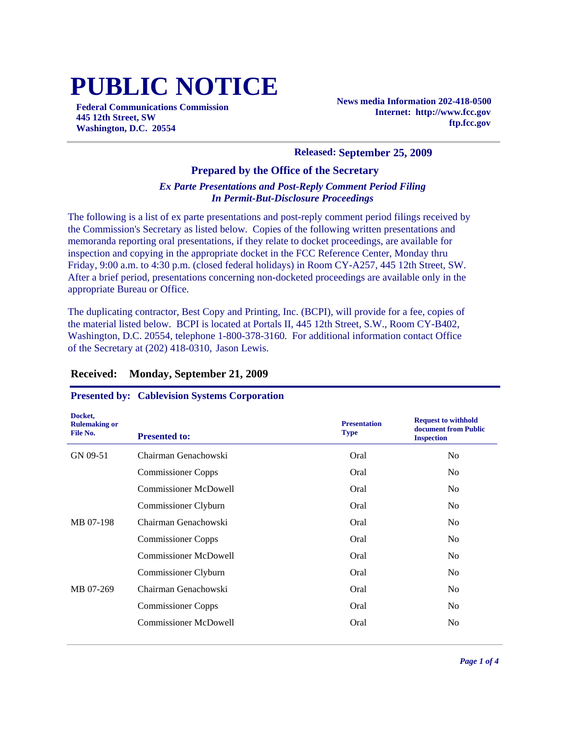# **PUBLIC NOTICE**

**Federal Communications Commission 445 12th Street, SW Washington, D.C. 20554**

**News media Information 202-418-0500 Internet: http://www.fcc.gov ftp.fcc.gov**

#### **Released: September 25, 2009**

#### **Prepared by the Office of the Secretary**

#### *Ex Parte Presentations and Post-Reply Comment Period Filing In Permit-But-Disclosure Proceedings*

The following is a list of ex parte presentations and post-reply comment period filings received by the Commission's Secretary as listed below. Copies of the following written presentations and memoranda reporting oral presentations, if they relate to docket proceedings, are available for inspection and copying in the appropriate docket in the FCC Reference Center, Monday thru Friday, 9:00 a.m. to 4:30 p.m. (closed federal holidays) in Room CY-A257, 445 12th Street, SW. After a brief period, presentations concerning non-docketed proceedings are available only in the appropriate Bureau or Office.

The duplicating contractor, Best Copy and Printing, Inc. (BCPI), will provide for a fee, copies of the material listed below. BCPI is located at Portals II, 445 12th Street, S.W., Room CY-B402, Washington, D.C. 20554, telephone 1-800-378-3160. For additional information contact Office of the Secretary at (202) 418-0310, Jason Lewis.

| Docket,<br><b>Rulemaking or</b><br>File No. | <b>Presented to:</b>         | <b>Presentation</b><br><b>Type</b> | <b>Request to withhold</b><br>document from Public<br><b>Inspection</b> |
|---------------------------------------------|------------------------------|------------------------------------|-------------------------------------------------------------------------|
| GN 09-51                                    | Chairman Genachowski         | Oral                               | N <sub>o</sub>                                                          |
|                                             | <b>Commissioner Copps</b>    | Oral                               | N <sub>o</sub>                                                          |
|                                             | <b>Commissioner McDowell</b> | Oral                               | N <sub>o</sub>                                                          |
|                                             | Commissioner Clyburn         | Oral                               | N <sub>o</sub>                                                          |
| MB 07-198                                   | Chairman Genachowski         | Oral                               | N <sub>o</sub>                                                          |
|                                             | <b>Commissioner Copps</b>    | Oral                               | N <sub>o</sub>                                                          |
|                                             | <b>Commissioner McDowell</b> | Oral                               | N <sub>o</sub>                                                          |
|                                             | Commissioner Clyburn         | Oral                               | N <sub>0</sub>                                                          |
| MB 07-269                                   | Chairman Genachowski         | Oral                               | N <sub>o</sub>                                                          |
|                                             | <b>Commissioner Copps</b>    | Oral                               | N <sub>o</sub>                                                          |
|                                             | <b>Commissioner McDowell</b> | Oral                               | N <sub>0</sub>                                                          |
|                                             |                              |                                    |                                                                         |

#### **Received: Monday, September 21, 2009**

#### **Presented by: Cablevision Systems Corporation**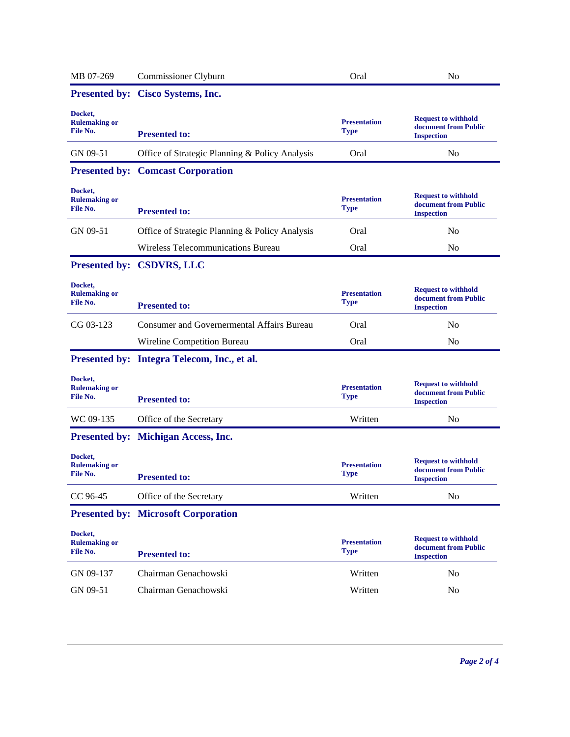| MB 07-269                                   | Commissioner Clyburn                           | Oral                               | N <sub>o</sub>                                                          |
|---------------------------------------------|------------------------------------------------|------------------------------------|-------------------------------------------------------------------------|
|                                             | Presented by: Cisco Systems, Inc.              |                                    |                                                                         |
| Docket,<br><b>Rulemaking or</b><br>File No. | <b>Presented to:</b>                           | <b>Presentation</b><br><b>Type</b> | <b>Request to withhold</b><br>document from Public<br><b>Inspection</b> |
| GN 09-51                                    | Office of Strategic Planning & Policy Analysis | Oral                               | N <sub>0</sub>                                                          |
|                                             | <b>Presented by: Comcast Corporation</b>       |                                    |                                                                         |
| Docket,<br><b>Rulemaking or</b><br>File No. | <b>Presented to:</b>                           | <b>Presentation</b><br><b>Type</b> | <b>Request to withhold</b><br>document from Public<br><b>Inspection</b> |
| GN 09-51                                    | Office of Strategic Planning & Policy Analysis | Oral                               | N <sub>o</sub>                                                          |
|                                             | Wireless Telecommunications Bureau             | Oral                               | No                                                                      |
|                                             | Presented by: CSDVRS, LLC                      |                                    |                                                                         |
| Docket,<br><b>Rulemaking or</b><br>File No. | <b>Presented to:</b>                           | <b>Presentation</b><br><b>Type</b> | <b>Request to withhold</b><br>document from Public<br><b>Inspection</b> |
| CG 03-123                                   | Consumer and Governermental Affairs Bureau     | Oral                               | N <sub>o</sub>                                                          |
|                                             | Wireline Competition Bureau                    | Oral                               | N <sub>0</sub>                                                          |
|                                             | Presented by: Integra Telecom, Inc., et al.    |                                    |                                                                         |
| Docket,<br><b>Rulemaking or</b><br>File No. | <b>Presented to:</b>                           | <b>Presentation</b><br><b>Type</b> | <b>Request to withhold</b><br>document from Public<br><b>Inspection</b> |
| WC 09-135                                   | Office of the Secretary                        | Written                            | N <sub>o</sub>                                                          |
|                                             | <b>Presented by: Michigan Access, Inc.</b>     |                                    |                                                                         |
| Docket,<br><b>Rulemaking or</b><br>File No. | <b>Presented to:</b>                           | <b>Presentation</b><br><b>Type</b> | <b>Request to withhold</b><br>document from Public<br><b>Inspection</b> |
| CC 96-45                                    | Office of the Secretary                        | Written                            | No                                                                      |
|                                             | <b>Presented by: Microsoft Corporation</b>     |                                    |                                                                         |
| Docket,<br><b>Rulemaking or</b><br>File No. | <b>Presented to:</b>                           | <b>Presentation</b><br><b>Type</b> | <b>Request to withhold</b><br>document from Public<br><b>Inspection</b> |
| GN 09-137                                   | Chairman Genachowski                           | Written                            | No                                                                      |
| GN 09-51                                    | Chairman Genachowski                           | Written                            | No                                                                      |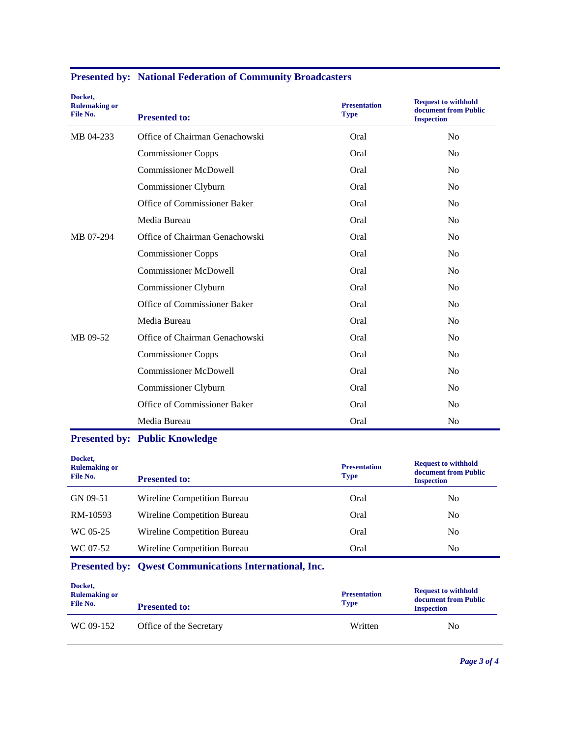| Docket,<br><b>Rulemaking or</b><br>File No. | <b>Presented to:</b>           | <b>Presentation</b><br><b>Type</b> | <b>Request to withhold</b><br>document from Public<br><b>Inspection</b> |
|---------------------------------------------|--------------------------------|------------------------------------|-------------------------------------------------------------------------|
| MB 04-233                                   | Office of Chairman Genachowski | Oral                               | N <sub>o</sub>                                                          |
|                                             | <b>Commissioner Copps</b>      | Oral                               | N <sub>o</sub>                                                          |
|                                             | <b>Commissioner McDowell</b>   | Oral                               | No                                                                      |
|                                             | Commissioner Clyburn           | Oral                               | No                                                                      |
|                                             | Office of Commissioner Baker   | Oral                               | No                                                                      |
|                                             | Media Bureau                   | Oral                               | No                                                                      |
| MB 07-294                                   | Office of Chairman Genachowski | Oral                               | N <sub>o</sub>                                                          |
|                                             | <b>Commissioner Copps</b>      | Oral                               | N <sub>o</sub>                                                          |
|                                             | <b>Commissioner McDowell</b>   | Oral                               | No                                                                      |
|                                             | Commissioner Clyburn           | Oral                               | No                                                                      |
|                                             | Office of Commissioner Baker   | Oral                               | No                                                                      |
|                                             | Media Bureau                   | Oral                               | N <sub>0</sub>                                                          |
| MB 09-52                                    | Office of Chairman Genachowski | Oral                               | No                                                                      |
|                                             | <b>Commissioner Copps</b>      | Oral                               | N <sub>o</sub>                                                          |
|                                             | <b>Commissioner McDowell</b>   | Oral                               | N <sub>o</sub>                                                          |
|                                             | Commissioner Clyburn           | Oral                               | No                                                                      |
|                                             | Office of Commissioner Baker   | Oral                               | N <sub>o</sub>                                                          |
|                                             | Media Bureau                   | Oral                               | N <sub>o</sub>                                                          |

### **Presented by: National Federation of Community Broadcasters**

## **Presented by: Public Knowledge**

| Docket,<br><b>Rulemaking or</b><br>File No. | <b>Presented to:</b>        | <b>Presentation</b><br><b>Type</b> | <b>Request to withhold</b><br>document from Public<br><b>Inspection</b> |
|---------------------------------------------|-----------------------------|------------------------------------|-------------------------------------------------------------------------|
| GN 09-51                                    | Wireline Competition Bureau | Oral                               | N <sub>0</sub>                                                          |
| RM-10593                                    | Wireline Competition Bureau | Oral                               | N <sub>0</sub>                                                          |
| WC 05-25                                    | Wireline Competition Bureau | Oral                               | N <sub>0</sub>                                                          |
| WC 07-52                                    | Wireline Competition Bureau | Oral                               | N <sub>0</sub>                                                          |

# **Presented by: Qwest Communications International, Inc.**

| Docket,<br><b>Rulemaking or</b><br>File No. | <b>Presented to:</b>    | <b>Presentation</b><br><b>Type</b> | <b>Request to withhold</b><br>document from Public<br><b>Inspection</b> |
|---------------------------------------------|-------------------------|------------------------------------|-------------------------------------------------------------------------|
| WC 09-152                                   | Office of the Secretary | Written                            | No                                                                      |